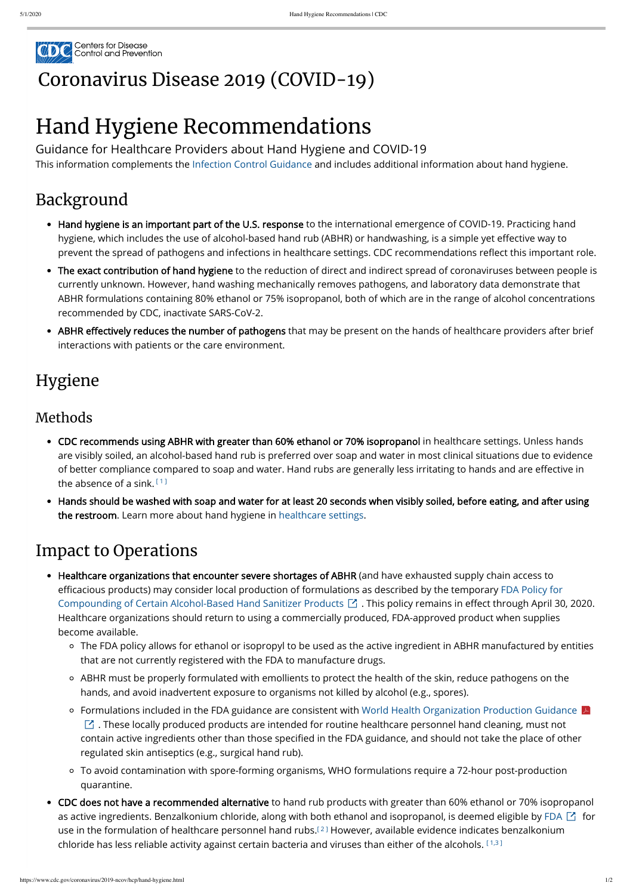

## [Coronavirus](https://www.cdc.gov/coronavirus/2019-nCoV/index.html) Disease 2019 (COVID-19)

# Hand Hygiene Recommendations

Guidance for Healthcare Providers about Hand Hygiene and COVID-19 This information complements the [Infection Control Guidance](https://www.cdc.gov/coronavirus/2019-ncov/hcp/infection-control-recommendations.html) and includes additional information about hand hygiene.

## Background

- Hand hygiene is an important part of the U.S. response to the international emergence of COVID-19. Practicing hand hygiene, which includes the use of alcohol-based hand rub (ABHR) or handwashing, is a simple yet effective way to prevent the spread of pathogens and infections in healthcare settings. CDC recommendations reflect this important role.
- The exact contribution of hand hygiene to the reduction of direct and indirect spread of coronaviruses between people is currently unknown. However, hand washing mechanically removes pathogens, and laboratory data demonstrate that ABHR formulations containing 80% ethanol or 75% isopropanol, both of which are in the range of alcohol concentrations recommended by CDC, inactivate SARS-CoV-2.
- ABHR effectively reduces the number of pathogens that may be present on the hands of healthcare providers after brief interactions with patients or the care environment.

### Hygiene

#### Methods

- CDC recommends using ABHR with greater than 60% ethanol or 70% isopropanol in healthcare settings. Unless hands are visibly soiled, an alcohol-based hand rub is preferred over soap and water in most clinical situations due to evidence of better compliance compared to soap and water. Hand rubs are generally less irritating to hands and are effective in the absence of a sink.  $^{\text{\tiny{\textsf{[1]}}}}$  $^{\text{\tiny{\textsf{[1]}}}}$  $^{\text{\tiny{\textsf{[1]}}}}$
- Hands should be washed with soap and water for at least 20 seconds when visibly soiled, before eating, and after using the restroom. Learn more about hand hygiene in [healthcare settings](https://www.cdc.gov/handhygiene/providers/index.html).

### Impact to Operations

- Healthcare organizations that encounter severe shortages of ABHR (and have exhausted supply chain access to efficacious products) may consider local production of formulations as described by the temporary FDA Policy for Compounding of Certain Alcohol-Based Hand Sanitizer Products  $\Box$  . This policy remains in effect through April 30, 2020. Healthcare organizations should return to using a commercially produced, FDA-approved product when supplies become available.
	- The FDA policy allows for ethanol or isopropyl to be used as the active ingredient in ABHR manufactured by entities that are not currently registered with the FDA to manufacture drugs.
	-
	- ABHR must be properly formulated with emollients to protect the health of the skin, reduce pathogens on the hands, and avoid inadvertent exposure to organisms not killed by alcohol (e.g., spores).
	- [Formulations included in the FDA guidance are consistent with World Health Organization Production Guidance](https://www.who.int/gpsc/5may/Guide_to_Local_Production.pdf?ua=1)  $|\mathcal{A}|$  $\boxtimes$  . These locally produced products are intended for routine healthcare personnel hand cleaning, must not contain active ingredients other than those specified in the FDA guidance, and should not take the place of other regulated skin antiseptics (e.g., surgical hand rub).
	- To avoid contamination with spore-forming organisms, WHO formulations require a 72-hour post-production quarantine.
- CDC does not have a recommended alternative to hand rub products with greater than 60% ethanol or 70% isopropanol as active ingredients. Benzalkonium chloride, along with both ethanol and isopropanol, is deemed eligible by [FDA](https://www.fda.gov/about-fda/economic-impact-analyses-fda-regulations/safety-and-effectiveness-health-care-antiseptics-topical-antimicrobial-drug-products-over-counter)  $\boxtimes$  for use in the formulation of healthcare personnel hand rubs. $^{\llbracket 2 \rrbracket}$  $^{\llbracket 2 \rrbracket}$  $^{\llbracket 2 \rrbracket}$  However, available evidence indicates benzalkonium chloride has less reliable activity against certain bacteria and viruses than either of the alcohols.  $^{[1,3]}$  $^{[1,3]}$  $^{[1,3]}$